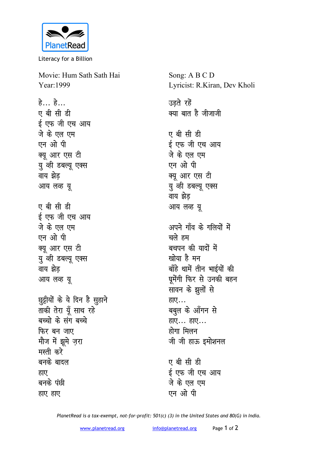

Literacy for a Billion

Movie: Hum Sath Sath Hai Year: 1999

हे... हे... ए बी सी डी ई एफ जी एच आय जे के एल एम एन ओ पी क्यु आर एस टी यु व्ही डबल्यू एक्स वाय झेड आय लव्ह यू ए बी सी डी ई एफ जी एच आय जे के एल एम एन ओ पी क्यू आर एस टी यू व्ही डबल्यू एक्स वाय झेड आय लव्ह यू छुट्टीयों के ये दिन है सुहाने ताकी तेरा यूँ साथ रहे बच्चो के संग बच्चे फिर बन जाए मौज में झूमे ज़रा मस्ती करे बनके बादल हाए बनके पंछी हाए हाए

क्या बात है जीजाजी ए बी सी डी ई एफ जी एच आय जे के एल एम एन ओ पी क्यू आर एस टी यु व्ही डबल्यू एक्स वाय झेड आय लव्ह यू अपने गाँव के गलियों में चले हम बचपन की यादों में खोया है मन बाँहे थामें तीन भाईयों की घुमेंगी फिर से उनकी बहन सावन के झूलों से हाए... बबुल के आँगन से हाए... हाए... होगा मिलन जी जी हाऊ इमोशनल ए बी सी डी

Song: A B C D

उड़ते रहें

Lyricist: R.Kiran, Dev Kholi

ई एफ जी एच आय जे के एल एम एन ओ पी

PlanetRead is a tax-exempt, not-for-profit: 501(c) (3) in the United States and 80(G) in India.